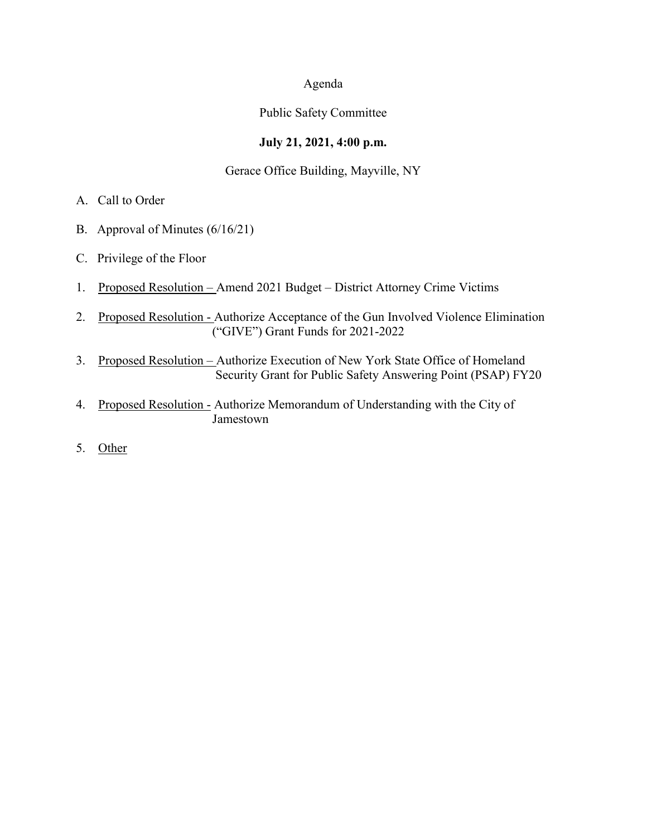## Agenda

## Public Safety Committee

## **July 21, 2021, 4:00 p.m.**

## Gerace Office Building, Mayville, NY

- A. Call to Order
- B. Approval of Minutes (6/16/21)
- C. Privilege of the Floor
- 1. Proposed Resolution Amend 2021 Budget District Attorney Crime Victims
- 2. Proposed Resolution Authorize Acceptance of the Gun Involved Violence Elimination ("GIVE") Grant Funds for 2021-2022
- 3. Proposed Resolution Authorize Execution of New York State Office of Homeland Security Grant for Public Safety Answering Point (PSAP) FY20
- 4. Proposed Resolution Authorize Memorandum of Understanding with the City of Jamestown
- 5. Other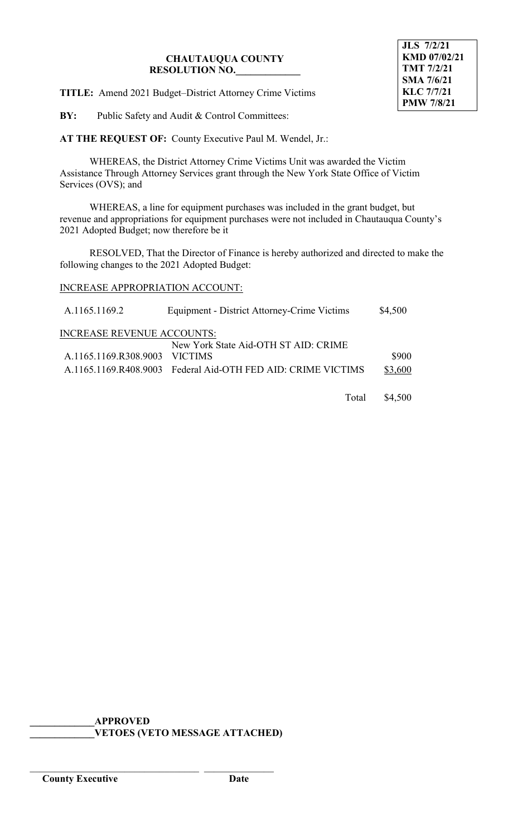## **CHAUTAUQUA COUNTY RESOLUTION NO.\_\_\_\_\_\_\_\_\_\_\_\_\_**

**TITLE:** Amend 2021 Budget–District Attorney Crime Victims

**BY:** Public Safety and Audit & Control Committees:

**AT THE REQUEST OF:** County Executive Paul M. Wendel, Jr.:

WHEREAS, the District Attorney Crime Victims Unit was awarded the Victim Assistance Through Attorney Services grant through the New York State Office of Victim Services (OVS); and

WHEREAS, a line for equipment purchases was included in the grant budget, but revenue and appropriations for equipment purchases were not included in Chautauqua County's 2021 Adopted Budget; now therefore be it

RESOLVED, That the Director of Finance is hereby authorized and directed to make the following changes to the 2021 Adopted Budget:

# INCREASE APPROPRIATION ACCOUNT:

| A.1165.1169.2                     | Equipment - District Attorney-Crime Victims                  | \$4,500 |
|-----------------------------------|--------------------------------------------------------------|---------|
| <b>INCREASE REVENUE ACCOUNTS:</b> |                                                              |         |
|                                   | New York State Aid-OTH ST AID: CRIME                         |         |
| A.1165.1169.R308.9003 VICTIMS     |                                                              | \$900   |
|                                   | A.1165.1169.R408.9003 Federal Aid-OTH FED AID: CRIME VICTIMS | \$3,600 |
|                                   |                                                              |         |

Total \$4,500

**\_\_\_\_\_\_\_\_\_\_\_\_\_APPROVED \_\_\_\_\_\_\_\_\_\_\_\_\_VETOES (VETO MESSAGE ATTACHED)**

\_\_\_\_\_\_\_\_\_\_\_\_\_\_\_\_\_\_\_\_\_\_\_\_\_\_\_\_\_\_\_\_\_\_ \_\_\_\_\_\_\_\_\_\_\_\_\_\_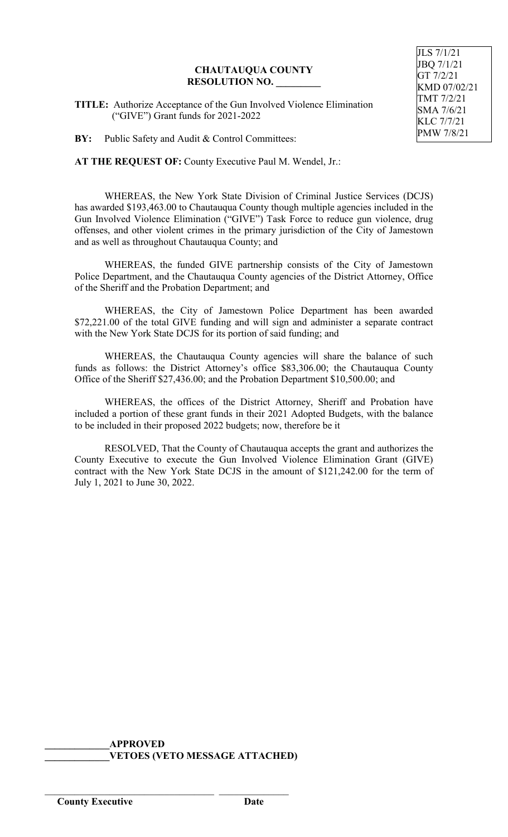### **CHAUTAUQUA COUNTY RESOLUTION NO. \_\_\_\_\_\_\_\_\_**

**TITLE:** Authorize Acceptance of the Gun Involved Violence Elimination ("GIVE") Grant funds for 2021-2022

**BY:** Public Safety and Audit & Control Committees:

**AT THE REQUEST OF:** County Executive Paul M. Wendel, Jr.:

WHEREAS, the New York State Division of Criminal Justice Services (DCJS) has awarded \$193,463.00 to Chautauqua County though multiple agencies included in the Gun Involved Violence Elimination ("GIVE") Task Force to reduce gun violence, drug offenses, and other violent crimes in the primary jurisdiction of the City of Jamestown and as well as throughout Chautauqua County; and

WHEREAS, the funded GIVE partnership consists of the City of Jamestown Police Department, and the Chautauqua County agencies of the District Attorney, Office of the Sheriff and the Probation Department; and

WHEREAS, the City of Jamestown Police Department has been awarded \$72,221.00 of the total GIVE funding and will sign and administer a separate contract with the New York State DCJS for its portion of said funding; and

WHEREAS, the Chautauqua County agencies will share the balance of such funds as follows: the District Attorney's office \$83,306.00; the Chautauqua County Office of the Sheriff \$27,436.00; and the Probation Department \$10,500.00; and

WHEREAS, the offices of the District Attorney, Sheriff and Probation have included a portion of these grant funds in their 2021 Adopted Budgets, with the balance to be included in their proposed 2022 budgets; now, therefore be it

RESOLVED, That the County of Chautauqua accepts the grant and authorizes the County Executive to execute the Gun Involved Violence Elimination Grant (GIVE) contract with the New York State DCJS in the amount of \$121,242.00 for the term of July 1, 2021 to June 30, 2022.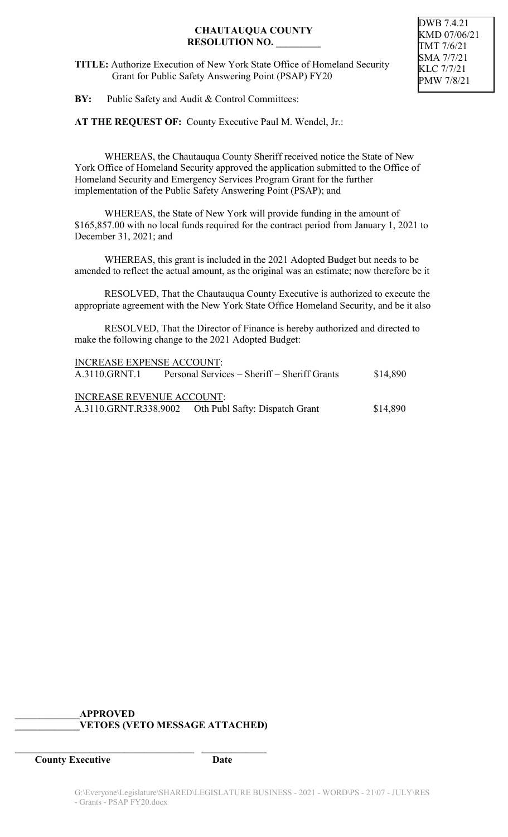## **CHAUTAUQUA COUNTY RESOLUTION NO. \_\_\_\_\_\_\_\_\_**

DWB 7.4.21 KMD 07/06/21 TMT 7/6/21 SMA 7/7/21 KLC 7/7/21 PMW 7/8/21

**TITLE:** Authorize Execution of New York State Office of Homeland Security Grant for Public Safety Answering Point (PSAP) FY20

**BY:** Public Safety and Audit & Control Committees:

**AT THE REQUEST OF:** County Executive Paul M. Wendel, Jr.:

WHEREAS, the Chautauqua County Sheriff received notice the State of New York Office of Homeland Security approved the application submitted to the Office of Homeland Security and Emergency Services Program Grant for the further implementation of the Public Safety Answering Point (PSAP); and

WHEREAS, the State of New York will provide funding in the amount of \$165,857.00 with no local funds required for the contract period from January 1, 2021 to December 31, 2021; and

WHEREAS, this grant is included in the 2021 Adopted Budget but needs to be amended to reflect the actual amount, as the original was an estimate; now therefore be it

RESOLVED, That the Chautauqua County Executive is authorized to execute the appropriate agreement with the New York State Office Homeland Security, and be it also

RESOLVED, That the Director of Finance is hereby authorized and directed to make the following change to the 2021 Adopted Budget:

| <b>INCREASE EXPENSE ACCOUNT:</b> |                                                      |          |  |  |
|----------------------------------|------------------------------------------------------|----------|--|--|
| A.3110.GRNT.1                    | Personal Services – Sheriff – Sheriff Grants         | \$14,890 |  |  |
| <b>INCREASE REVENUE ACCOUNT:</b> |                                                      |          |  |  |
|                                  | A.3110.GRNT.R338.9002 Oth Publ Safty: Dispatch Grant | \$14,890 |  |  |

# **\_\_\_\_\_\_\_\_\_\_\_\_\_APPROVED \_\_\_\_\_\_\_\_\_\_\_\_\_VETOES (VETO MESSAGE ATTACHED)**

**\_\_\_\_\_\_\_\_\_\_\_\_\_\_\_\_\_\_\_\_\_\_\_\_\_\_\_\_\_\_\_\_\_\_\_\_ \_\_\_\_\_\_\_\_\_\_\_\_\_**

**County Executive Date**